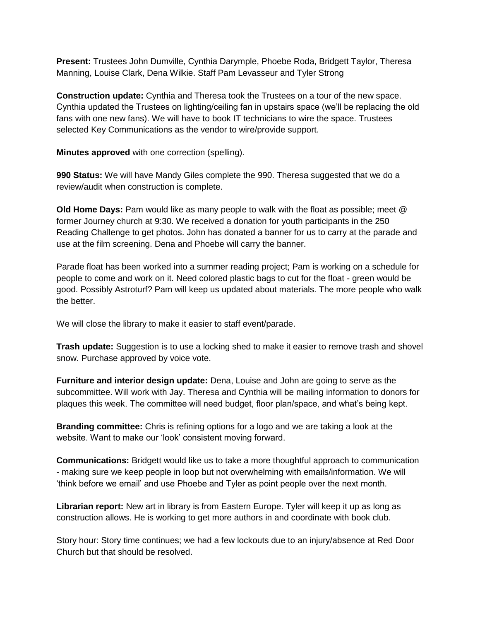**Present:** Trustees John Dumville, Cynthia Darymple, Phoebe Roda, Bridgett Taylor, Theresa Manning, Louise Clark, Dena Wilkie. Staff Pam Levasseur and Tyler Strong

**Construction update:** Cynthia and Theresa took the Trustees on a tour of the new space. Cynthia updated the Trustees on lighting/ceiling fan in upstairs space (we'll be replacing the old fans with one new fans). We will have to book IT technicians to wire the space. Trustees selected Key Communications as the vendor to wire/provide support.

**Minutes approved** with one correction (spelling).

**990 Status:** We will have Mandy Giles complete the 990. Theresa suggested that we do a review/audit when construction is complete.

**Old Home Days:** Pam would like as many people to walk with the float as possible; meet @ former Journey church at 9:30. We received a donation for youth participants in the 250 Reading Challenge to get photos. John has donated a banner for us to carry at the parade and use at the film screening. Dena and Phoebe will carry the banner.

Parade float has been worked into a summer reading project; Pam is working on a schedule for people to come and work on it. Need colored plastic bags to cut for the float - green would be good. Possibly Astroturf? Pam will keep us updated about materials. The more people who walk the better.

We will close the library to make it easier to staff event/parade.

**Trash update:** Suggestion is to use a locking shed to make it easier to remove trash and shovel snow. Purchase approved by voice vote.

**Furniture and interior design update:** Dena, Louise and John are going to serve as the subcommittee. Will work with Jay. Theresa and Cynthia will be mailing information to donors for plaques this week. The committee will need budget, floor plan/space, and what's being kept.

**Branding committee:** Chris is refining options for a logo and we are taking a look at the website. Want to make our 'look' consistent moving forward.

**Communications:** Bridgett would like us to take a more thoughtful approach to communication - making sure we keep people in loop but not overwhelming with emails/information. We will 'think before we email' and use Phoebe and Tyler as point people over the next month.

**Librarian report:** New art in library is from Eastern Europe. Tyler will keep it up as long as construction allows. He is working to get more authors in and coordinate with book club.

Story hour: Story time continues; we had a few lockouts due to an injury/absence at Red Door Church but that should be resolved.